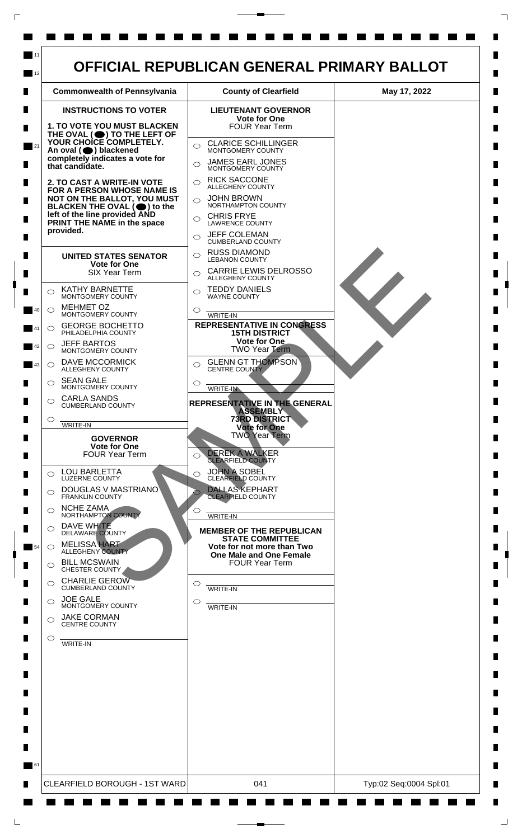

 $\mathsf{L}$